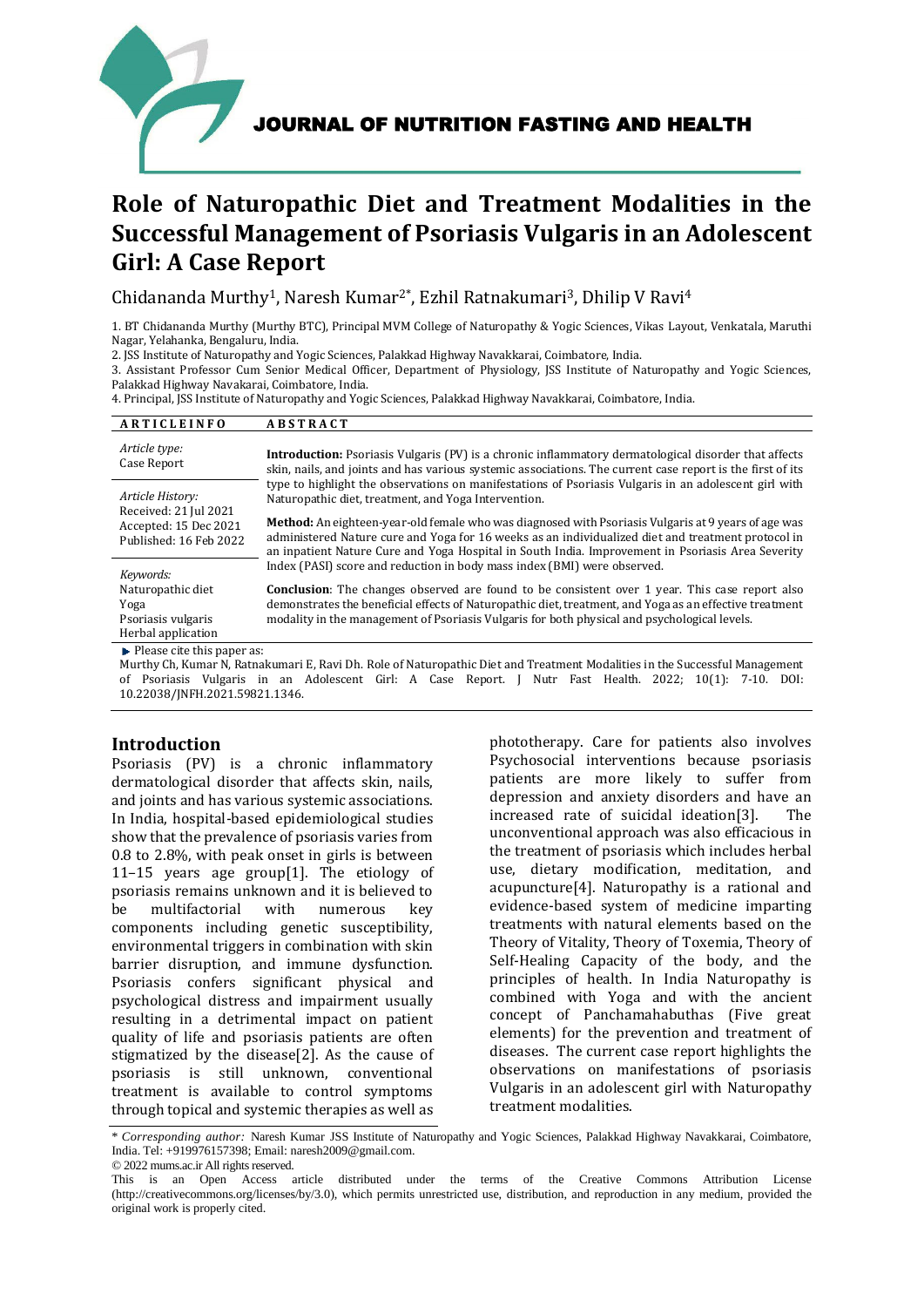

# **Role of Naturopathic Diet and Treatment Modalities in the Successful Management of Psoriasis Vulgaris in an Adolescent Girl: A Case Report**

Chidananda Murthy<sup>1</sup>, Naresh Kumar<sup>2\*</sup>, Ezhil Ratnakumari<sup>3</sup>, Dhilip V Ravi<sup>4</sup>

1. BT Chidananda Murthy (Murthy BTC), Principal MVM College of Naturopathy & Yogic Sciences, Vikas Layout, Venkatala, Maruthi Nagar, Yelahanka, Bengaluru, India.

2. JSS Institute of Naturopathy and Yogic Sciences, Palakkad Highway Navakkarai, Coimbatore, India.

3. Assistant Professor Cum Senior Medical Officer, Department of Physiology, JSS Institute of Naturopathy and Yogic Sciences, Palakkad Highway Navakarai, Coimbatore, India.

4. Principal, JSS Institute of Naturopathy and Yogic Sciences, Palakkad Highway Navakkarai, Coimbatore, India.

| ARTICLEINFO                                                                                  | <b>ABSTRACT</b>                                                                                                                                                                                                                                                                                                       |
|----------------------------------------------------------------------------------------------|-----------------------------------------------------------------------------------------------------------------------------------------------------------------------------------------------------------------------------------------------------------------------------------------------------------------------|
| Article type:<br>Case Report                                                                 | <b>Introduction:</b> Psoriasis Vulgaris (PV) is a chronic inflammatory dermatological disorder that affects<br>skin, nails, and joints and has various systemic associations. The current case report is the first of its                                                                                             |
| Article History:<br>Received: 21 Jul 2021<br>Accepted: 15 Dec 2021<br>Published: 16 Feb 2022 | type to highlight the observations on manifestations of Psoriasis Vulgaris in an adolescent girl with<br>Naturopathic diet, treatment, and Yoga Intervention.                                                                                                                                                         |
|                                                                                              | <b>Method:</b> An eighteen-year-old female who was diagnosed with Psoriasis Vulgaris at 9 years of age was<br>administered Nature cure and Yoga for 16 weeks as an individualized diet and treatment protocol in<br>an inpatient Nature Cure and Yoga Hospital in South India. Improvement in Psoriasis Area Severity |
| Keywords:                                                                                    | Index (PASI) score and reduction in body mass index (BMI) were observed.                                                                                                                                                                                                                                              |
| Naturopathic diet<br>Yoga<br>Psoriasis vulgaris<br>Herbal application                        | <b>Conclusion:</b> The changes observed are found to be consistent over 1 year. This case report also<br>demonstrates the beneficial effects of Naturopathic diet, treatment, and Yoga as an effective treatment<br>modality in the management of Psoriasis Vulgaris for both physical and psychological levels.      |
| $\blacktriangleright$ Please cite this paper as:                                             |                                                                                                                                                                                                                                                                                                                       |

Murthy Ch, Kumar N, Ratnakumari E, Ravi Dh. Role of Naturopathic Diet and Treatment Modalities in the Successful Management of Psoriasis Vulgaris in an Adolescent Girl: A Case Report. J Nutr Fast Health. 2022; 10(1): 7-10. DOI: 10.22038/JNFH.2021.59821.1346.

# **Introduction**

Psoriasis (PV) is a chronic inflammatory dermatological disorder that affects skin, nails, and joints and has various systemic associations. In India, hospital-based epidemiological studies show that the prevalence of psoriasis varies from 0.8 to 2.8%, with peak onset in girls is between 11–15 years age group[1]. The etiology of psoriasis remains unknown and it is believed to be multifactorial with numerous key components including genetic susceptibility, environmental triggers in combination with skin barrier disruption, and immune dysfunction. Psoriasis confers significant physical and psychological distress and impairment usually resulting in a detrimental impact on patient quality of life and psoriasis patients are often stigmatized by the disease[2]. As the cause of psoriasis is still unknown, conventional treatment is available to control symptoms through topical and systemic therapies as well as

phototherapy. Care for patients also involves Psychosocial interventions because psoriasis patients are more likely to suffer from depression and anxiety disorders and have an increased rate of suicidal ideation[3]. The unconventional approach was also efficacious in the treatment of psoriasis which includes herbal use, dietary modification, meditation, and acupuncture[4]. Naturopathy is a rational and evidence-based system of medicine imparting treatments with natural elements based on the Theory of Vitality, Theory of Toxemia, Theory of Self-Healing Capacity of the body, and the principles of health. In India Naturopathy is combined with Yoga and with the ancient concept of Panchamahabuthas (Five great elements) for the prevention and treatment of diseases. The current case report highlights the observations on manifestations of psoriasis Vulgaris in an adolescent girl with Naturopathy treatment modalities.

\* *Corresponding author:* Naresh Kumar JSS Institute of Naturopathy and Yogic Sciences, Palakkad Highway Navakkarai, Coimbatore, India. Tel: +919976157398; Email: naresh2009@gmail.com.

© 2022 mums.ac.ir All rights reserved.

This is an Open Access article distributed under the terms of the Creative Commons Attribution License (http://creativecommons.org/licenses/by/3.0), which permits unrestricted use, distribution, and reproduction in any medium, provided the original work is properly cited.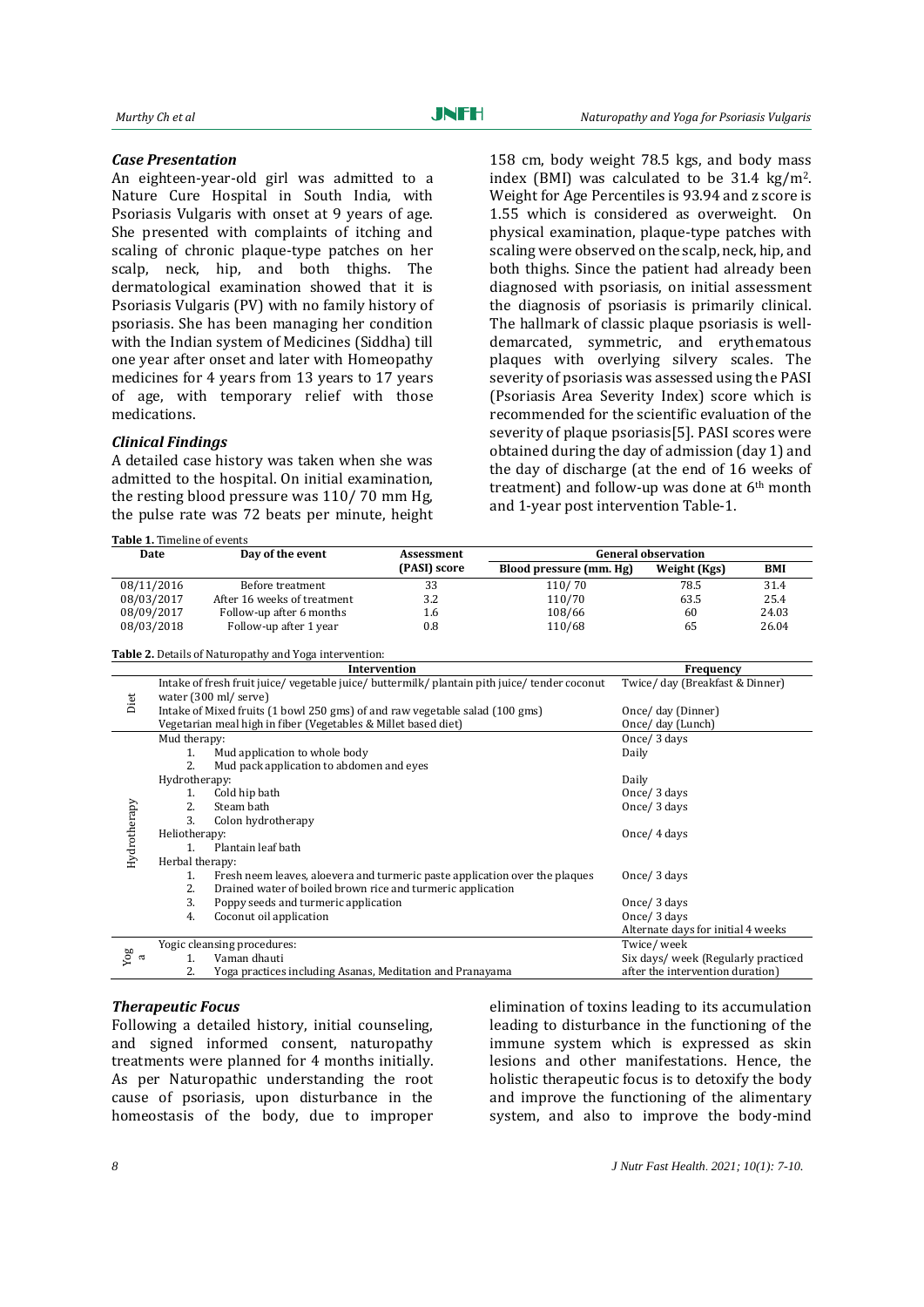#### *Case Presentation*

An eighteen-year-old girl was admitted to a Nature Cure Hospital in South India, with Psoriasis Vulgaris with onset at 9 years of age. She presented with complaints of itching and scaling of chronic plaque-type patches on her scalp, neck, hip, and both thighs. The dermatological examination showed that it is Psoriasis Vulgaris (PV) with no family history of psoriasis. She has been managing her condition with the Indian system of Medicines (Siddha) till one year after onset and later with Homeopathy medicines for 4 years from 13 years to 17 years of age, with temporary relief with those medications.

## *Clinical Findings*

A detailed case history was taken when she was admitted to the hospital. On initial examination, the resting blood pressure was 110/ 70 mm Hg, the pulse rate was 72 beats per minute, height

**Table 1.** Timeline of events

158 cm, body weight 78.5 kgs, and body mass index (BMI) was calculated to be  $31.4 \text{ kg/m}^2$ . Weight for Age Percentiles is 93.94 and z score is 1.55 which is considered as overweight. On physical examination, plaque-type patches with scaling were observed on the scalp, neck, hip, and both thighs. Since the patient had already been diagnosed with psoriasis, on initial assessment the diagnosis of psoriasis is primarily clinical. The hallmark of classic plaque psoriasis is welldemarcated, symmetric, and erythematous plaques with overlying silvery scales. The severity of psoriasis was assessed using the PASI (Psoriasis Area Severity Index) score which is recommended for the scientific evaluation of the severity of plaque psoriasis[5]. PASI scores were obtained during the day of admission (day 1) and the day of discharge (at the end of 16 weeks of treatment) and follow-up was done at 6th month and 1-year post intervention Table-1.

| Date       | Day of the event            | Assessment   | <b>General observation</b> |              |            |
|------------|-----------------------------|--------------|----------------------------|--------------|------------|
|            |                             | (PASI) score | Blood pressure (mm. Hg)    | Weight (Kgs) | <b>BMI</b> |
| 08/11/2016 | Before treatment            | 33           | 110/70                     | 78.5         | 31.4       |
| 08/03/2017 | After 16 weeks of treatment | 3.2          | 110/70                     | 63.5         | 25.4       |
| 08/09/2017 | Follow-up after 6 months    | 1.6          | 108/66                     | 60           | 24.03      |
| 08/03/2018 | Follow-up after 1 year      | 0.8          | 110/68                     | 65           | 26.04      |

**Table 2.** Details of Naturopathy and Yoga intervention: **Intervention Frequency** Diet Intake of fresh fruit juice/ vegetable juice/ buttermilk/ plantain pith juice/ tender coconut water (300 ml/ serve) Twice/ day (Breakfast & Dinner) Intake of Mixed fruits (1 bowl 250 gms) of and raw vegetable salad (100 gms) Once/ day (Dinner) Vegetarian meal high in fiber (Vegetables & Millet based diet) Once/ day (Lunch) Hydrotherapy Mud therapy: 1. Mud application to whole body 2. Mud pack application to abdomen and eyes Once/ 3 days Daily Hydrotherapy: 1. Cold hip bath 2. Steam bath 3. Colon hydrotherapy Daily Once/ 3 days Once/ 3 days Heliotherapy: 1. Plantain leaf bath Once/ 4 days Herbal therapy: 1. Fresh neem leaves, aloevera and turmeric paste application over the plaques<br>2. Drained water of boiled brown rice and turmeric application 2. Drained water of boiled brown rice and turmeric application 3. Poppy seeds and turmeric application 4. Coconut oil application Once/ 3 days Once/ 3 days Once/ 3 days Alternate days for initial 4 weeks Yog aYogic cleansing procedures: 1. Vaman dhauti 2. Yoga practices including Asanas, Meditation and Pranayama Twice/ week Six days/ week (Regularly practiced after the intervention duration)

#### *Therapeutic Focus*

Following a detailed history, initial counseling, and signed informed consent, naturopathy treatments were planned for 4 months initially. As per Naturopathic understanding the root cause of psoriasis, upon disturbance in the homeostasis of the body, due to improper

elimination of toxins leading to its accumulation leading to disturbance in the functioning of the immune system which is expressed as skin lesions and other manifestations. Hence, the holistic therapeutic focus is to detoxify the body and improve the functioning of the alimentary system, and also to improve the body-mind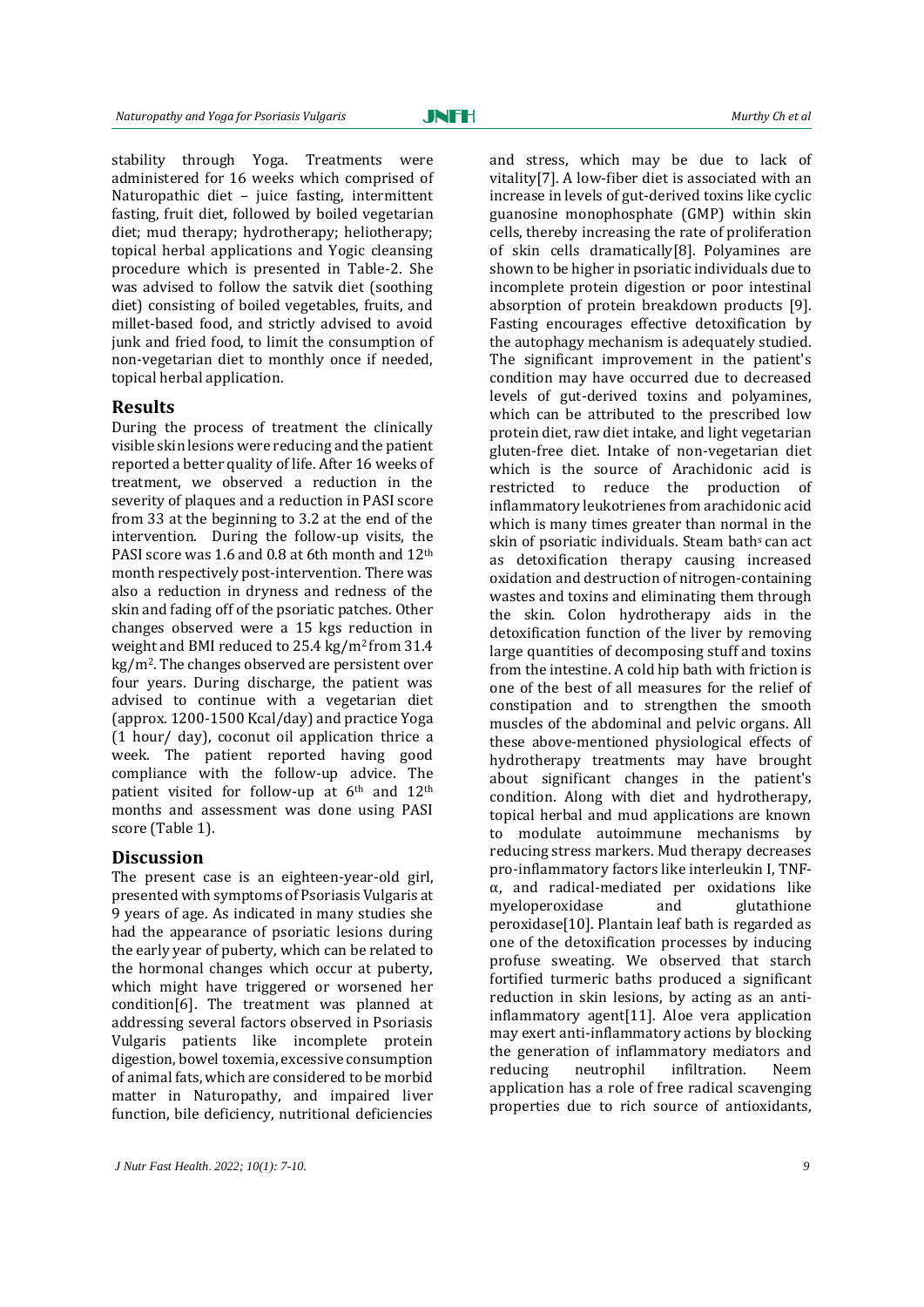stability through Yoga. Treatments were administered for 16 weeks which comprised of Naturopathic diet – juice fasting, intermittent fasting, fruit diet, followed by boiled vegetarian diet; mud therapy; hydrotherapy; heliotherapy; topical herbal applications and Yogic cleansing procedure which is presented in Table-2. She was advised to follow the satvik diet (soothing diet) consisting of boiled vegetables, fruits, and millet-based food, and strictly advised to avoid junk and fried food, to limit the consumption of non-vegetarian diet to monthly once if needed, topical herbal application.

### **Results**

During the process of treatment the clinically visible skin lesions were reducing and the patient reported a better quality of life. After 16 weeks of treatment, we observed a reduction in the severity of plaques and a reduction in PASI score from 33 at the beginning to 3.2 at the end of the intervention. During the follow-up visits, the PASI score was 1.6 and 0.8 at 6th month and 12th month respectively post-intervention. There was also a reduction in dryness and redness of the skin and fading off of the psoriatic patches. Other changes observed were a 15 kgs reduction in weight and BMI reduced to 25.4 kg/m2 from 31.4 kg/m2. The changes observed are persistent over four years. During discharge, the patient was advised to continue with a vegetarian diet (approx. 1200-1500 Kcal/day) and practice Yoga (1 hour/ day), coconut oil application thrice a week. The patient reported having good compliance with the follow-up advice. The patient visited for follow-up at 6th and 12th months and assessment was done using PASI score (Table 1).

### **Discussion**

The present case is an eighteen-year-old girl, presented with symptoms of Psoriasis Vulgaris at 9 years of age. As indicated in many studies she had the appearance of psoriatic lesions during the early year of puberty, which can be related to the hormonal changes which occur at puberty, which might have triggered or worsened her condition[6]. The treatment was planned at addressing several factors observed in Psoriasis Vulgaris patients like incomplete protein digestion, bowel toxemia, excessive consumption of animal fats, which are considered to be morbid matter in Naturopathy, and impaired liver function, bile deficiency, nutritional deficiencies

and stress, which may be due to lack of vitality[7]. A low-fiber diet is associated with an increase in levels of gut-derived toxins like cyclic guanosine monophosphate (GMP) within skin cells, thereby increasing the rate of proliferation of skin cells dramatically[8]. Polyamines are shown to be higher in psoriatic individuals due to incomplete protein digestion or poor intestinal absorption of protein breakdown products [9]. Fasting encourages effective detoxification by the autophagy mechanism is adequately studied. The significant improvement in the patient's condition may have occurred due to decreased levels of gut-derived toxins and polyamines, which can be attributed to the prescribed low protein diet, raw diet intake, and light vegetarian gluten-free diet. Intake of non-vegetarian diet which is the source of Arachidonic acid is restricted to reduce the production of inflammatory leukotrienes from arachidonic acid which is many times greater than normal in the skin of psoriatic individuals. Steam bath<sup>s</sup> can act as detoxification therapy causing increased oxidation and destruction of nitrogen-containing wastes and toxins and eliminating them through the skin. Colon hydrotherapy aids in the detoxification function of the liver by removing large quantities of decomposing stuff and toxins from the intestine. A cold hip bath with friction is one of the best of all measures for the relief of constipation and to strengthen the smooth muscles of the abdominal and pelvic organs. All these above-mentioned physiological effects of hydrotherapy treatments may have brought about significant changes in the patient's condition. Along with diet and hydrotherapy, topical herbal and mud applications are known to modulate autoimmune mechanisms by reducing stress markers. Mud therapy decreases pro-inflammatory factors like interleukin I, TNFα, and radical-mediated per oxidations like myeloperoxidase and glutathione peroxidase[10]. Plantain leaf bath is regarded as one of the detoxification processes by inducing profuse sweating. We observed that starch fortified turmeric baths produced a significant reduction in skin lesions, by acting as an antiinflammatory agent[11]. Aloe vera application may exert anti-inflammatory actions by blocking the generation of inflammatory mediators and reducing neutrophil infiltration. Neem application has a role of free radical scavenging properties due to rich source of antioxidants,